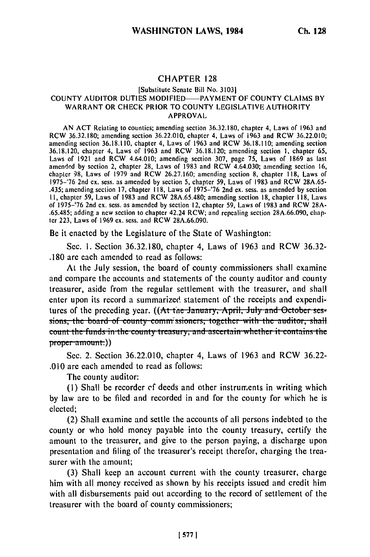## CHAPTER **128**

## [Substitute Senate Bill No. 31031 COUNTY AUDITOR DUTIES MODIFIED-PAYMENT OF COUNTY CLAIMS BY WARRANT OR CHECK PRIOR TO COUNTY LEGISLATIVE AUTHORITY APPROVAL

AN ACT Relating to counties; amending section 36.32.180, chapter 4, Laws of 1963 and RCW 36.32.180; amending section 36.22.010, chapter **4,** Laws of 1963 and RCW 36.22.010; amending section 36.18.110, chapter 4, Laws **of** 1963 and RCW 36.18.110; amending section 36.18.120, chapter 4, Laws of 1963 and RCW 36.18.120; amending section **I,** chapter 65, Laws of 1921 and RCW 4.64.010; amending section 307, page **75,** Laws of 1869 as last amended by section 2, chapter 28, Laws of 1983 and RCW 4.64.030; amending section **16,** chapter **98,** Laws of 1979 and RCW 26.27.160; amending section 8, chapter 118, Laws of  $1975-176$ , Laws of 1999 and NCW 2012 and the settion  $50$ , Laws of 1983 and RCW 29A.65-.435; amending section **17,** chapter 118, Laws of 1975-'76 2nd ex. sess. as amended by section **I1,** chapter 59, Laws **of** 1983 and RCW 28A.65.480; amending section 18, chapter 118, Laws of 1975-'76 2nd ex. sess. as amended by section 12, chapter 59, Laws of 1983 and RCW 28A- .65.485; adding a new section to chapter 42.24 RCW; and repealing section 28A.66.090, chapter 223, Laws of 1969 ex. sess. and RCW 28A.66.090.

Be it enacted **by** the Legislature of the State of Washington:

Sec. **1.** Section **36.32.180,** chapter 4, Laws of **1963** and RCW **36.32-** .180 are each amended to read as follows:

At the July session, the board of county commissioners shall examine and compare the accounts and statements **of** the county auditor and county treasurer, aside from the regular settlement with the treasurer, and shall enter upon its record a summarized statement of the receipts and expenditures of the preceding year. ((At the January, April, July and October ses-<br>sions, the board of county commissioners, together with the auditor, shall **<u>count the funds in the county treasury, and ascertain whether it contains the</u>** proper amount.)

Sec. 2. Section **36.22.010,** chapter 4, Laws of **1963** and RCW **36.22- .010** are each amended to read as follows:

The county auditor:

**(I)** Shall be recorder **ef** deeds and other instruments in writing which **by** law are to be filed and recorded in and for the county for which he is elected;

(2) Shall examine and settle the accounts of all persons indebted to the county or who hold money payable into the county treasury, certify the amount to the treasurer, and give to the person paying, a discharge upon presentation and filing of the treasurer's receipt therefor, charging the treasurer with the amount;

**(3)** Shall keep an account current with the county treasurer, charge him with all money received as shown **by** his receipts issued and credit him with all disbursements paid out according to the record of settlement of the treasurer with the board of county commissioners;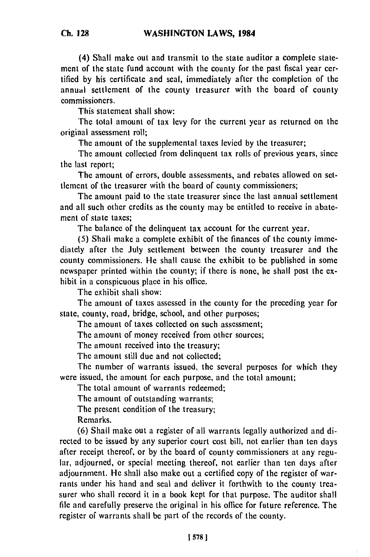(4) Shall make out and transmit to the state auditor a complete statement of the state fund account with the county for the past fiscal year certified **by** his certificate and seal, immediately after the completion of the annual settlement of the county treasurer with the board of county commissioners.

This statement shall show:

The total amount of tax levy for the current year as returned on the original assessment roll;

The amount of the supplemental taxes levied **by** the treasurer;

The amount collected from delinquent tax rolls of previous years, since the last report;

The amount of errors, double assessments, and rebates allowed on settlement of the treasurer with the board of county commissioners;

The amount paid to the state treasurer since the last annual settlement and all such other credits as the county may be entitled to receive in abatement of state taxes;

The balance of the delinquent tax account for the current year.

**(5)** Shall make a complete exhibit of the finances of the county immediately after the July settlement between the county treasurer and the county commissioners. He shall cause the exhibit to be published in some newspaper printed within the county; if there is none, he shall post the exhibit in a conspicuous place in his office.

The exhibit shall show:

The amount of taxes assessed in the county for the preceding year for state, county, road, bridge, school, and other purposes;

The amount of taxes collected on such assessment;

The amount of money received from other sources;

The amount received into the treasury;

The amount still due and not collected;

The number of warrants issued, the several purposes for which they were issued, the amount for each purpose, and the total amount;

The total amount of warrants redeemed;

The amount of outstanding warrants;

The present condition of the treasury;

Remarks.

**(6)** Shall make out a register of all warrants legally authorized and directed to be issued **by** any superior court cost bill, not earlier than ten days after receipt thereof, or **by** the board of county commissioners at any regular, adjourned, or special meeting thereof, not earlier than ten days after adjournment. He shall also make out a certified copy of the register of warrants under his hand and seal and deliver it forthwith to the county treasurer who shall record it in a book kept for that purpose. The auditor shall file and carefully preserve the original in his office for future reference. The register of warrants shall be part of the records of the county.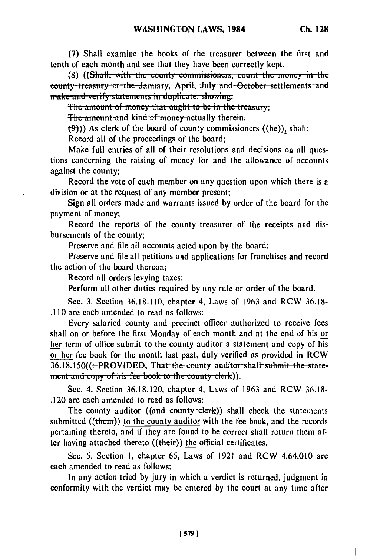(7) Shall examine the books of the treasurer between the first and tenth of each month and see that they have been correctly kept.

(8) ((Shall, with the county commissioners, count the money in the county treasury at the January, April, July and October settlements and make and verify statements in duplicate, showing:

The amount of money that ought to be in the treasury;

The amount and kind of money actually therein.

 $(\frac{1}{2})$ ) As clerk of the board of county commissioners ((he)), shall:

Record all of the proceedings of the board;

Make full entries of all of their resolutions and decisions on all questions concerning the raising of money for and the allowance of accounts against the county;

Record the vote of each member on any question upon which there is a division or at the request of any member present;

Sign all orders made and warrants issued by order of the board for the payment of money;

Record the reports of the county treasurer of the receipts and disbursements of the county;

Preserve and file all accounts acted upon by the board;

Preserve and file all petitions and applications for franchises and record the action of the board thereon:

Record all orders levying taxes:

Perform all other duties required by any rule or order of the board.

Sec. 3. Section 36.18.110, chapter 4, Laws of 1963 and RCW 36.18-.110 are each amended to read as follows:

Every salaried county and precinct officer authorized to receive fees shall on or before the first Monday of each month and at the end of his or her term of office submit to the county auditor a statement and copy of his or her fee book for the month last past, duly verified as provided in RCW 36.18.150((:-PROVIDED, That the county auditor shall submit the statement and copy of his fee book to the county clerk)).

Sec. 4. Section 36.18.120, chapter 4, Laws of 1963 and RCW 36.18-.120 are each amended to read as follows:

The county auditor  $((\text{and country-clerk}))$  shall check the statements submitted  $((them))$  to the county auditor with the fee book, and the records pertaining thereto, and if they are found to be correct shall return them after having attached thereto ((their)) the official certificates.

Sec. 5. Section 1, chapter 65, Laws of 1921 and RCW 4.64.010 are each amended to read as follows:

In any action tried by jury in which a verdict is returned, judgment in conformity with the verdict may be entered by the court at any time after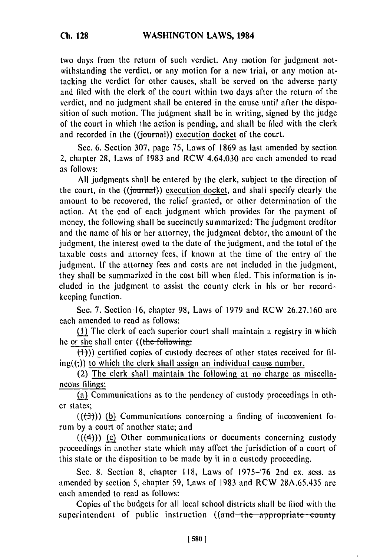two days from the return of such verdict. Any motion for judgment notwithstanding the verdict, or any motion for a new trial, or any motion attacking the verdict for other causes, shall be served on the adverse party and filed with the clerk of the court within two days after the return of the verdict, and no judgment shall be entered in the cause until after the disposition of such motion. The judgment shall be in writing, signed by the judge of the court in which the action is pending, and shall be filed with the clerk and recorded in the **((journal))** execution docket of the court.

Sec. 6. Section 307, page 75, Laws of 1869 as last amended by section 2, chapter 28, Laws of 1983 and RCW 4.64.030 are each amended to read as follows:

All judgments shall be entered by the clerk, subject to the direction of the court, in the  $((\text{journal}))$  execution docket, and shall specify clearly the amount to be recovered, the relief granted, or other determination of the action. At the end of each judgment which provides for the payment of money, the following shall be succinctly summarized: The judgment creditor and the name of his or her attorney, the judgment debtor, the amount of the judgment, the interest owed to the date of the judgment, and the total of the taxable costs and attorney fees, if known at the time of the entry of the judgment. **If** the attorney fees and costs are not included in the judgment, they shall be summarized in the cost bill when filed. This information is included in the judgment to assist the county clerk in his or her recordkeeping function.

Sec. 7. Section 16, chapter 98, Laws of 1979 and RCW 26.27.160 are each amended to read as follows:

(1) The clerk of each superior court shall maintain a registry in which he or she shall enter ((the-following:

 $(+)$ ) certified copies of custody decrees of other states received for fil $ing((t))$  to which the clerk shall assign an individual cause number.

(2) The clerk shall maintain the following at no charge as miscellaneous filings:

(a) Communications as to the pendency of custody proceedings in other states;

 $((+3))$  (b) Communications concerning a finding of inconvenient forum by a court of another state; and

 $((+4))$  (c) Other communications or documents concerning custody proceedings in another state which may affect the jurisdiction of a court of this state or the disposition to be made by it in a custody proceeding.

Sec. 8. Section 8, chapter 118, Laws of 1975-'76 2nd ex. sess. as amended by section 5, chapter 59, Laws of 1983 and RCW 28A.65.435 are each amended to read as follows:

Copies of the budgets for all local school districts shall be filed with the superintendent of public instruction ((and the appropriate county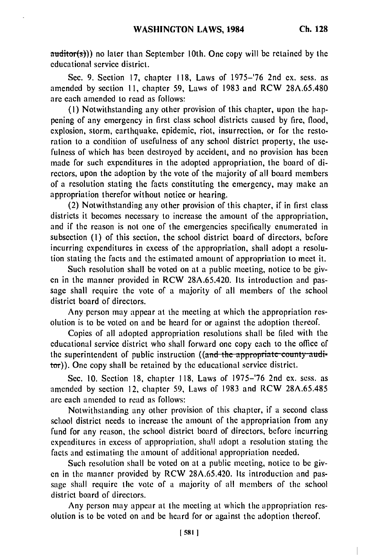auditor(s))) no later than September **1Oth.** One copy will be retained **by** the educational service district.

Sec. 9. Section **17,** chapter **118,** Laws of 1975-'76 2nd ex. sess. as amended by section **11,** chapter 59, Laws of 1983 and RCW 28A.65.480 are each amended to read as follows:

(1) Notwithstanding any other provision of this chapter, upon the happening of any emergency in first class school districts caused by fire, flood, explosion, storm, earthquake, epidemic, riot, insurrection, or for the restoration to a condition of usefulness of any school district property, the usefulness of which has been destroyed by accident, and no provision has been made for such expenditures in the adopted appropriation, the board of directors, upon the adoption by the vote of the majority of all board members of a resolution stating the facts constituting the emergency, may make an appropriation therefor without notice or hearing.

(2) Notwithstanding any other provision of this chapter, if in first class districts it becomes necessary to increase the amount of the appropriation, and if the reason is not one of the emergencies specifically enumerated in subsection **(I)** of this section, the school district board of directors, before incurring expenditures in excess of the appropriation, shall adopt a resolution stating the facts and the estimated amount of appropriation to meet it.

Such resolution shall be voted on at a public meeting, notice to be given in the manner provided in RCW 28A.65.420. Its introduction and passage shall require the vote of a majority of all members of the school district board of directors.

Any person may appear at the meeting at which the appropriation resolution is to be voted on and be heard for or against the adoption thereof.

Copies of all adopted appropriation resolutions shall be filed with the educational service district who shall forward one copy each to the office of the superintendent of public instruction ((and the appropriate county auditor)). One copy shall be retained by the educational service district.

Sec. 10. Section 18, chapter 118, Laws of 1975-'76 2nd ex. sess. as amended by section 12, chapter 59, Laws of 1983 and RCW 28A.65.485 are each amended to read as follows:

Notwithstanding any other provision of this chapter, if a second class school district needs to increase the amount of the appropriation from any fund for any reason, the school district board of directors, before incurring expenditures in excess of appropriation, shall adopt a resolution stating the facts and estimating the amount of additional appropriation needed.

Such resolution shall be voted on at a public meeting, notice to be given in the manner provided by RCW 28A.65.420. Its introduction and passage shall require the vote of a majority of all members of the school district board of directors.

Any person may appear at the meeting at which the appropriation resolution is to be voted on and be heard for or against the adoption thereof.